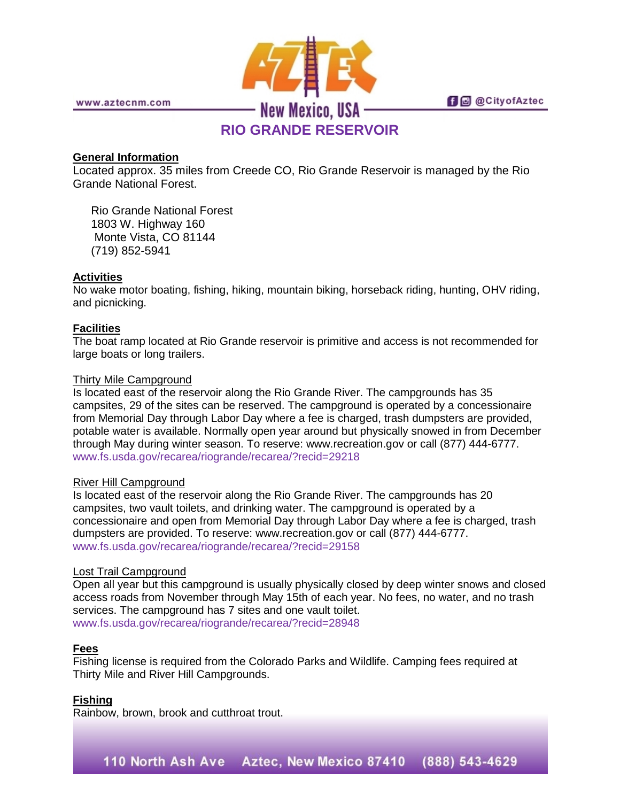

www.aztecnm.com

**fi** @ @ City of Aztec

# **RIO GRANDE RESERVOIR**

## **General Information**

Located approx. 35 miles from Creede CO, Rio Grande Reservoir is managed by the Rio Grande National Forest.

Rio Grande National Forest 1803 W. Highway 160 Monte Vista, CO 81144 (719) 852-5941

## **Activities**

No wake motor boating, fishing, hiking, mountain biking, horseback riding, hunting, OHV riding, and picnicking.

#### **Facilities**

The boat ramp located at Rio Grande reservoir is primitive and access is not recommended for large boats or long trailers.

#### Thirty Mile Campground

Is located east of the reservoir along the Rio Grande River. The campgrounds has 35 campsites, 29 of the sites can be reserved. The campground is operated by a concessionaire from Memorial Day through Labor Day where a fee is charged, trash dumpsters are provided, potable water is available. Normally open year around but physically snowed in from December through May during winter season. To reserve: www.recreation.gov or call (877) 444-6777. [www.fs.usda.gov/recarea/riogrande/recarea/?recid=29218](http://www.fs.usda.gov/recarea/riogrande/recarea/?recid=29218)

#### River Hill Campground

Is located east of the reservoir along the Rio Grande River. The campgrounds has 20 campsites, two vault toilets, and drinking water. The campground is operated by a concessionaire and open from Memorial Day through Labor Day where a fee is charged, trash dumpsters are provided. To reserve: www.recreation.gov or call (877) 444-6777. [www.fs.usda.gov/recarea/riogrande/recarea/?recid=29158](http://www.fs.usda.gov/recarea/riogrande/recarea/?recid=29158)

#### Lost Trail Campground

Open all year but this campground is usually physically closed by deep winter snows and closed access roads from November through May 15th of each year. No fees, no water, and no trash services. The campground has 7 sites and one vault toilet. [www.fs.usda.gov/recarea/riogrande/recarea/?recid=28948](http://www.fs.usda.gov/recarea/riogrande/recarea/?recid=28948)

#### **Fees**

Fishing license is required from the Colorado Parks and Wildlife. Camping fees required at Thirty Mile and River Hill Campgrounds.

#### **Fishing**

Rainbow, brown, brook and cutthroat trout.

110 North Ash Ave Aztec, New Mexico 87410 (888) 543-4629